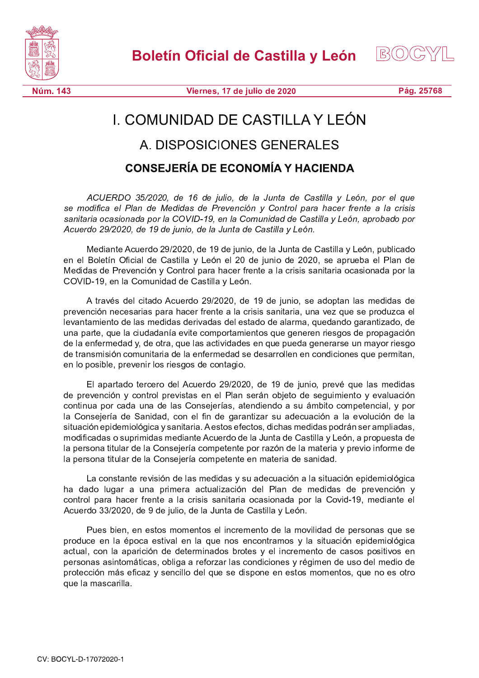



Núm. 143

Viernes, 17 de julio de 2020

Pág. 25768

## I. COMUNIDAD DE CASTILLA Y LEÓN

## A. DISPOSICIONES GENERALES

## **CONSEJERÍA DE ECONOMÍA Y HACIENDA**

ACUERDO 35/2020, de 16 de julio, de la Junta de Castilla y León, por el que se modifica el Plan de Medidas de Prevención y Control para hacer frente a la crisis sanitaria ocasionada por la COVID-19, en la Comunidad de Castilla y León, aprobado por Acuerdo 29/2020, de 19 de junio, de la Junta de Castilla y León.

Mediante Acuerdo 29/2020, de 19 de junio, de la Junta de Castilla y León, publicado en el Boletín Oficial de Castilla y León el 20 de junio de 2020, se aprueba el Plan de Medidas de Prevención y Control para hacer frente a la crisis sanitaria ocasionada por la COVID-19, en la Comunidad de Castilla y León.

A través del citado Acuerdo 29/2020, de 19 de junio, se adoptan las medidas de prevención necesarias para hacer frente a la crisis sanitaria, una vez que se produzca el levantamiento de las medidas derivadas del estado de alarma, quedando garantizado, de una parte, que la ciudadanía evite comportamientos que generen riesgos de propagación de la enfermedad y, de otra, que las actividades en que pueda generarse un mayor riesgo de transmisión comunitaria de la enfermedad se desarrollen en condiciones que permitan, en lo posible, prevenir los riesgos de contagio.

El apartado tercero del Acuerdo 29/2020, de 19 de junio, prevé que las medidas de prevención y control previstas en el Plan serán objeto de seguimiento y evaluación continua por cada una de las Consejerías, atendiendo a su ámbito competencial, y por la Consejería de Sanidad, con el fin de garantizar su adecuación a la evolución de la situación epidemiológica y sanitaria. A estos efectos, dichas medidas podrán ser ampliadas, modificadas o suprimidas mediante Acuerdo de la Junta de Castilla y León, a propuesta de la persona titular de la Consejería competente por razón de la materia y previo informe de la persona titular de la Consejería competente en materia de sanidad.

La constante revisión de las medidas y su adecuación a la situación epidemiológica ha dado lugar a una primera actualización del Plan de medidas de prevención y control para hacer frente a la crisis sanitaria ocasionada por la Covid-19, mediante el Acuerdo 33/2020, de 9 de julio, de la Junta de Castilla y León.

Pues bien, en estos momentos el incremento de la movilidad de personas que se produce en la época estival en la que nos encontramos y la situación epidemiológica actual, con la aparición de determinados brotes y el incremento de casos positivos en personas asintomáticas, obliga a reforzar las condiciones y régimen de uso del medio de protección más eficaz y sencillo del que se dispone en estos momentos, que no es otro que la mascarilla.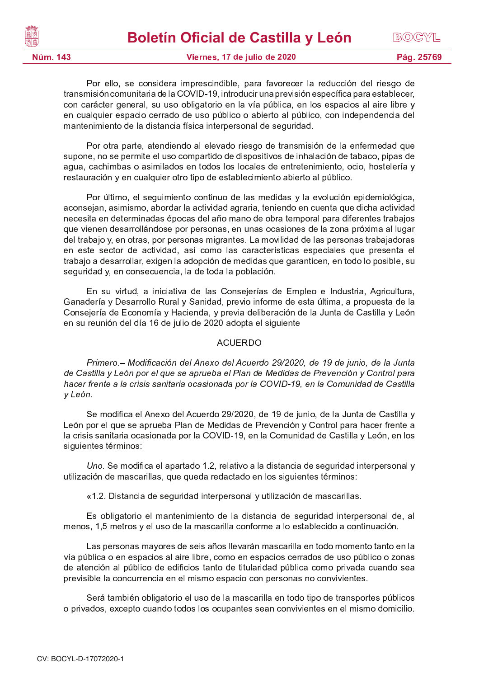| Núm. 143 | Viernes, 17 de julio de 2020              | Pág. 25769 |
|----------|-------------------------------------------|------------|
| ▓        | <b>Boletín Oficial de Castilla y León</b> | BOCYL      |

Por ello, se considera imprescindible, para favorecer la reducción del riesgo de transmisión comunitaria de la COVID-19, introducir una previsión específica para establecer, con carácter general, su uso obligatorio en la vía pública, en los espacios al aire libre y en cualquier espacio cerrado de uso público o abierto al público, con independencia del mantenimiento de la distancia física interpersonal de seguridad.

Por otra parte, atendiendo al elevado riesgo de transmisión de la enfermedad que supone, no se permite el uso compartido de dispositivos de inhalación de tabaco, pipas de agua, cachimbas o asimilados en todos los locales de entretenimiento, ocio, hostelería y restauración y en cualquier otro tipo de establecimiento abierto al público.

Por último, el seguimiento continuo de las medidas y la evolución epidemiológica, aconsejan, asimismo, abordar la actividad agraria, teniendo en cuenta que dicha actividad necesita en determinadas épocas del año mano de obra temporal para diferentes trabajos que vienen desarrollándose por personas, en unas ocasiones de la zona próxima al lugar del trabajo y, en otras, por personas migrantes. La movilidad de las personas trabajadoras en este sector de actividad, así como las características especiales que presenta el trabajo a desarrollar, exigen la adopción de medidas que garanticen, en todo lo posible, su seguridad y, en consecuencia, la de toda la población.

En su virtud, a iniciativa de las Consejerías de Empleo e Industria, Agricultura, P A R A M  $P$  and  $P$  and  $P$  is a model with  $P$  and  $P$  is a model with  $P$  f  $P$  f  $P$  f  $P$  f  $P$   $\infty$   $P$  f  $\infty$   $P$  f  $\infty$   $P$  f  $\infty$   $P$  f  $\infty$   $P$  f  $\infty$   $P$  f  $\infty$   $P$  f  $\infty$   $P$  f  $\infty$   $P$  f  $\infty$   $P$  f Consejería de Economía y Hacienda, y previa deliberación de la Junta de Castilla y León en su reunión del día 16 de julio de 2020 adopta el siguiente

## A CUERDO

Primero.- Modificación del Anexo del Acuerdo 29/2020, de 19 de junio, de la Junta de Castilla y León por el que se aprueba el Plan de Medidas de Prevención y Control para hacer frente a la crisis sanitaria ocasionada por la COVID-19, en la Comunidad de Castilla y León.

Se modifica el Anexo del Acuerdo 29/2020, de 19 de junio, de la Junta de Castilla y León por el que se aprueba Plan de Medidas de Prevención y Control para hacer frente a la crisis sanitaria ocasionada por la COVID-19, en la Comunidad de Castilla y León, en los siguientes términos:

Uno. Se modifica el apartado 1.2, relativo a la distancia de seguridad interpersonal y utilización de mascarillas, que queda redactado en los siguientes términos:

 $\overline{a}$  O Distancia de cequidad internaceae vultilización de meseorilles

Es obligatorio el mantenimiento de la distancia de seguridad interpersonal de, al menos, 1,5 metros y el uso de la mascarilla conforme a lo establecido a continuación.

Las personas mayores de seis años llevarán mascarilla en todo momento tanto en la vía pública o en espacios al aire libre, como en espacios cerrados de uso público o zonas de atención al público de edificios tanto de titularidad pública como privada cuando sea previsible la concurrencia en el mismo espacio con personas no convivientes.

Será también obligatorio el uso de la mascarilla en todo tipo de transportes públicos o privados, excepto cuando todos los ocupantes sean convivientes en el mismo domicilio.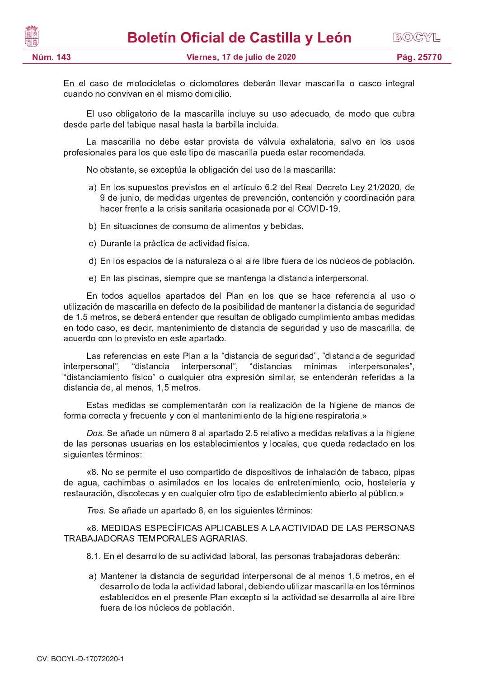

En el caso de motocicletas o ciclomotores deberán llevar mascarilla o casco integral cuando no convivan en el mismo domicilio.

El uso obligatorio de la mascarilla incluye su uso adecuado, de modo que cubra desde parte del tabique nasal hasta la barbilla incluida.

La mascarilla no debe estar provista de válvula exhalatoria, salvo en los usos profesionales para los que este tipo de mascarilla pueda estar recomendada.

No obstante, se exceptúa la obligación del uso de la mascarilla:

- a) En los supuestos previstos en el artículo 6.2 del Real Decreto Ley 21/2020, de 9 de junio, de medidas urgentes de prevención, contención y coordinación para hacer frente a la crisis sanitaria ocasionada por el COVID-19.
- b) En situaciones de consumo de alimentos y bebidas.
- c) Durante la práctica de actividad física.
- d) En los espacios de la naturaleza o al aire libre fuera de los núcleos de población.
- e) En las piscinas, siempre que se mantenga la distancia interpersonal.

En todos aquellos apartados del Plan en los que se hace referencia al uso o utilización de mascarilla en defecto de la posibilidad de mantener la distancia de seguridad de 1,5 metros, se deberá entender que resultan de obligado cumplimiento ambas medidas en todo caso, es decir, mantenimiento de distancia de seguridad y uso de mascarilla, de acuerdo con lo previsto en este apartado.

Las referencias en este Plan a la "distancia de seguridad", "distancia de seguridad interpersonal", "distancia interpersonal", "distancias mínimas interpersonales", "distanciamiento físico" o cualquier otra expresión similar, se entenderán referidas a la distancia de, al menos, 1,5 metros.

Estas medidas se complementarán con la realización de la higiene de manos de forma correcta y frecuente y con el mantenimiento de la higiene respiratoria.»

Dos. Se añade un número 8 al apartado 2.5 relativo a medidas relativas a la higiene de las personas usuarias en los establecimientos y locales, que queda redactado en los siguientes términos:

 $\omega$ <sup>0</sup> b  $\alpha$  p n  $\alpha$  m  $\alpha$  o  $\alpha$  p  $\alpha$   $\alpha$   $\alpha$   $\alpha$   $\alpha$   $\alpha$   $\beta$   $\alpha$   $\beta$   $\alpha$   $\beta$   $\alpha$   $\beta$   $\alpha$   $\beta$   $\alpha$   $\beta$   $\alpha$   $\beta$   $\alpha$   $\beta$   $\beta$   $\alpha$   $\beta$   $\alpha$   $\beta$   $\alpha$   $\beta$   $\alpha$   $\beta$   $\alpha$   $\beta$   $\alpha$   $\beta$   $\alpha$   $\beta$  de agua, cachimbas o asimilados en los locales de entretenimiento, ocio, hostelería y restauración, discotecas y en cualquier otro tipo de establecimiento abierto al público.»

Tres. Se añade un apartado 8, en los siguientes términos:

 $\mu$ o imeninas especieloas aducadues alla actividad de l'as dedsonia —————————————————————————————

8.1. En el desarrollo de su actividad laboral, las personas trabajadoras deberán:

a) Mantener la distancia de seguridad interpersonal de al menos 1,5 metros, en el desarrollo de toda la actividad laboral, debiendo utilizar mascarilla en los términos establecidos en el presente Plan excepto si la actividad se desarrolla al aire libre fuera de los núcleos de población.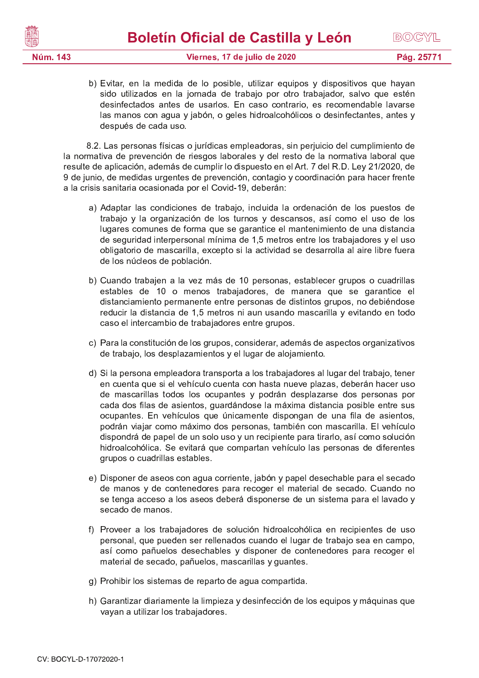| <b>IN</b> | <b>Boletín Oficial de Castilla y León</b> | BOCYL      |
|-----------|-------------------------------------------|------------|
| Núm. 143  | Viernes, 17 de julio de 2020              | Pág. 25771 |
|           |                                           |            |

b) Evitar, en la medida de lo posible, utilizar equipos y dispositivos que hayan sido utilizados en la jornada de trabajo por otro trabajador, salvo que estén desinfectados antes de usarlos. En caso contrario, es recomendable lavarse las manos con agua y jabón, o geles hidroalcohólicos o desinfectantes, antes y después de cada uso.

8.2. Las personas físicas o jurídicas empleadoras, sin perjuicio del cumplimiento de la normativa de prevención de riesgos laborales y del resto de la normativa laboral que resulte de aplicación, además de cumplir lo dispuesto en el Art. 7 del R.D. Ley 21/2020, de 9 de junio, de medidas urgentes de prevención, contagio y coordinación para hacer frente a la crisis sanitaria ocasionada por el Covid-19, deberán:

- a) Adaptar las condiciones de trabajo, incluida la ordenación de los puestos de trabajo y la organización de los turnos y descansos, así como el uso de los lugares comunes de forma que se garantice el mantenimiento de una distancia de seguridad interpersonal mínima de 1,5 metros entre los trabajadores y el uso obligatorio de mascarilla, excepto si la actividad se desarrolla al aire libre fuera de los núcleos de población.
- b) Cuando trabajen a la vez más de 10 personas, establecer grupos o cuadrillas estables de 10 o menos trabajadores, de manera que se garantice el distanciamiento permanente entre personas de distintos grupos, no debiéndose reducir la distancia de 1,5 metros ni aun usando mascarilla y evitando en todo caso el intercambio de trabajadores entre grupos.
- c) Para la constitución de los grupos, considerar, además de aspectos organizativos de trabajo, los desplazamientos y el lugar de alojamiento.
- d) Si la persona empleadora transporta a los trabajadores al lugar del trabajo, tener en cuenta que si el vehículo cuenta con hasta nueve plazas, deberán hacer uso de mascarillas todos los ocupantes y podrán desplazarse dos personas por cada dos filas de asientos, guardándose la máxima distancia posible entre sus ocupantes. En vehículos que únicamente dispongan de una fila de asientos, podrán viajar como máximo dos personas, también con mascarilla. El vehículo dispondrá de papel de un solo uso y un recipiente para tirarlo, así como solución hidroalcohólica. Se evitará que compartan vehículo las personas de diferentes arupos o cuadrillas estables.
- e) Disponer de aseos con agua corriente, jabón y papel desechable para el secado de manos y de contenedores para recoger el material de secado. Cuando no se tenga acceso a los aseos deberá disponerse de un sistema para el lavado y secado de manos.
- f) Proveer a los trabajadores de solución hidroalcohólica en recipientes de uso personal, que pueden ser rellenados cuando el lugar de trabajo sea en campo, así como pañuelos desechables y disponer de contenedores para recoger el material de secado, pañuelos, mascarillas y guantes.
- g) Prohibir los sistemas de reparto de agua compartida.
- h) Garantizar diariamente la limpieza y desinfección de los equipos y máquinas que vayan a utilizar los trabajadores.